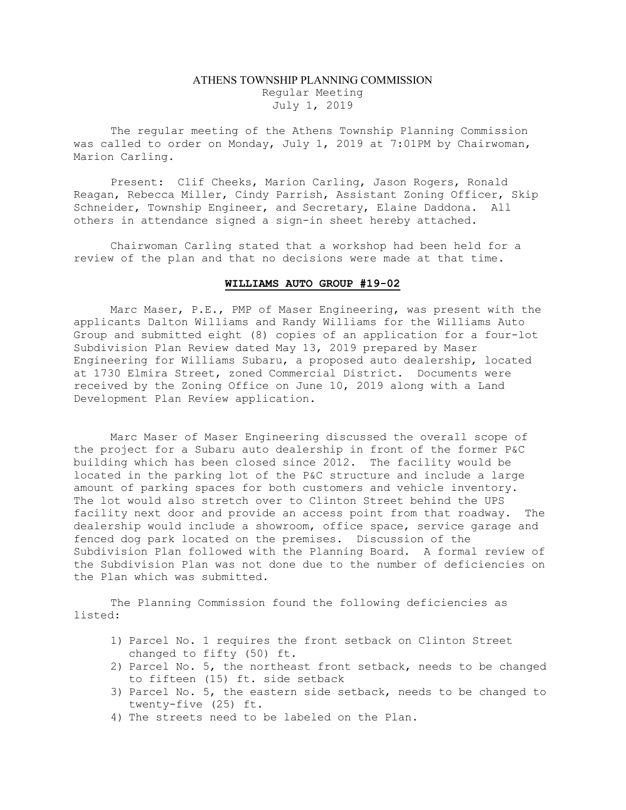## ATHENS TOWNSHIP PLANNING COMMISSION Regular Meeting July 1, 2019

The regular meeting of the Athens Township Planning Commission was called to order on Monday, July 1, 2019 at 7:01PM by Chairwoman, Marion Carling.

Present: Clif Cheeks, Marion Carling, Jason Rogers, Ronald Reagan, Rebecca Miller, Cindy Parrish, Assistant Zoning Officer, Skip Schneider, Township Engineer, and Secretary, Elaine Daddona. All others in attendance signed a sign-in sheet hereby attached.

Chairwoman Carling stated that a workshop had been held for a review of the plan and that no decisions were made at that time.

## WILLIAMS AUTO GROUP #19-02

 Marc Maser, P.E., PMP of Maser Engineering, was present with the applicants Dalton Williams and Randy Williams for the Williams Auto Group and submitted eight (8) copies of an application for a four-lot Subdivision Plan Review dated May 13, 2019 prepared by Maser Engineering for Williams Subaru, a proposed auto dealership, located at 1730 Elmira Street, zoned Commercial District. Documents were received by the Zoning Office on June 10, 2019 along with a Land Development Plan Review application.

Marc Maser of Maser Engineering discussed the overall scope of the project for a Subaru auto dealership in front of the former P&C building which has been closed since 2012. The facility would be located in the parking lot of the P&C structure and include a large amount of parking spaces for both customers and vehicle inventory. The lot would also stretch over to Clinton Street behind the UPS facility next door and provide an access point from that roadway. The dealership would include a showroom, office space, service garage and fenced dog park located on the premises. Discussion of the Subdivision Plan followed with the Planning Board. A formal review of the Subdivision Plan was not done due to the number of deficiencies on the Plan which was submitted.

The Planning Commission found the following deficiencies as listed:

- 1) Parcel No. 1 requires the front setback on Clinton Street changed to fifty (50) ft.
- 2) Parcel No. 5, the northeast front setback, needs to be changed to fifteen (15) ft. side setback
- 3) Parcel No. 5, the eastern side setback, needs to be changed to twenty-five (25) ft.
- 4) The streets need to be labeled on the Plan.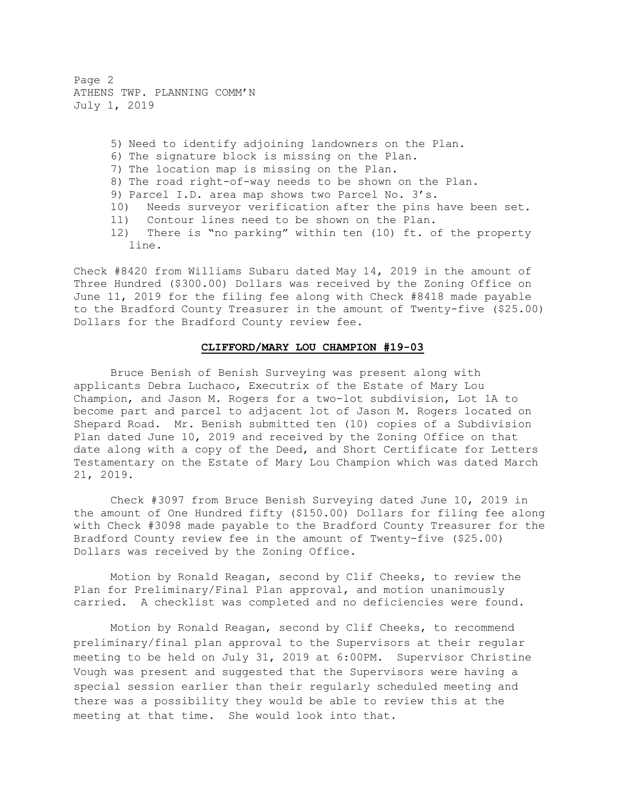Page 2 ATHENS TWP. PLANNING COMM'N July 1, 2019

> 5) Need to identify adjoining landowners on the Plan. 6) The signature block is missing on the Plan. 7) The location map is missing on the Plan. 8) The road right-of-way needs to be shown on the Plan. 9) Parcel I.D. area map shows two Parcel No. 3's. 10) Needs surveyor verification after the pins have been set. 11) Contour lines need to be shown on the Plan. 12) There is "no parking" within ten (10) ft. of the property line.

Check #8420 from Williams Subaru dated May 14, 2019 in the amount of Three Hundred (\$300.00) Dollars was received by the Zoning Office on June 11, 2019 for the filing fee along with Check #8418 made payable to the Bradford County Treasurer in the amount of Twenty-five (\$25.00) Dollars for the Bradford County review fee.

## CLIFFORD/MARY LOU CHAMPION #19-03

Bruce Benish of Benish Surveying was present along with applicants Debra Luchaco, Executrix of the Estate of Mary Lou Champion, and Jason M. Rogers for a two-lot subdivision, Lot 1A to become part and parcel to adjacent lot of Jason M. Rogers located on Shepard Road. Mr. Benish submitted ten (10) copies of a Subdivision Plan dated June 10, 2019 and received by the Zoning Office on that date along with a copy of the Deed, and Short Certificate for Letters Testamentary on the Estate of Mary Lou Champion which was dated March 21, 2019.

Check #3097 from Bruce Benish Surveying dated June 10, 2019 in the amount of One Hundred fifty (\$150.00) Dollars for filing fee along with Check #3098 made payable to the Bradford County Treasurer for the Bradford County review fee in the amount of Twenty-five (\$25.00) Dollars was received by the Zoning Office.

Motion by Ronald Reagan, second by Clif Cheeks, to review the Plan for Preliminary/Final Plan approval, and motion unanimously carried. A checklist was completed and no deficiencies were found.

Motion by Ronald Reagan, second by Clif Cheeks, to recommend preliminary/final plan approval to the Supervisors at their regular meeting to be held on July 31, 2019 at 6:00PM. Supervisor Christine Vough was present and suggested that the Supervisors were having a special session earlier than their regularly scheduled meeting and there was a possibility they would be able to review this at the meeting at that time. She would look into that.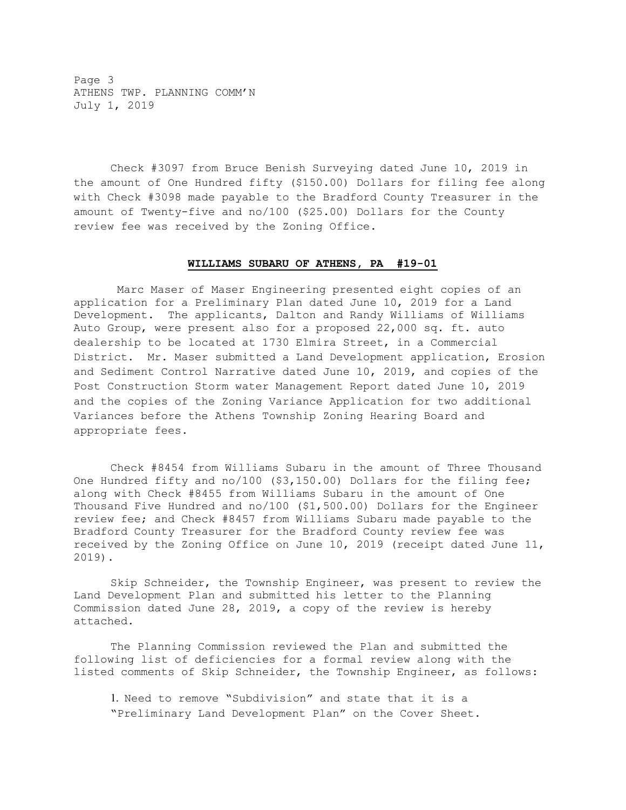Page 3 ATHENS TWP. PLANNING COMM'N July 1, 2019

Check #3097 from Bruce Benish Surveying dated June 10, 2019 in the amount of One Hundred fifty (\$150.00) Dollars for filing fee along with Check #3098 made payable to the Bradford County Treasurer in the amount of Twenty-five and no/100 (\$25.00) Dollars for the County review fee was received by the Zoning Office.

## WILLIAMS SUBARU OF ATHENS, PA #19-01

 Marc Maser of Maser Engineering presented eight copies of an application for a Preliminary Plan dated June 10, 2019 for a Land Development. The applicants, Dalton and Randy Williams of Williams Auto Group, were present also for a proposed 22,000 sq. ft. auto dealership to be located at 1730 Elmira Street, in a Commercial District. Mr. Maser submitted a Land Development application, Erosion and Sediment Control Narrative dated June 10, 2019, and copies of the Post Construction Storm water Management Report dated June 10, 2019 and the copies of the Zoning Variance Application for two additional Variances before the Athens Township Zoning Hearing Board and appropriate fees.

Check #8454 from Williams Subaru in the amount of Three Thousand One Hundred fifty and no/100 (\$3,150.00) Dollars for the filing fee; along with Check #8455 from Williams Subaru in the amount of One Thousand Five Hundred and no/100 (\$1,500.00) Dollars for the Engineer review fee; and Check #8457 from Williams Subaru made payable to the Bradford County Treasurer for the Bradford County review fee was received by the Zoning Office on June 10, 2019 (receipt dated June 11, 2019).

Skip Schneider, the Township Engineer, was present to review the Land Development Plan and submitted his letter to the Planning Commission dated June 28, 2019, a copy of the review is hereby attached.

The Planning Commission reviewed the Plan and submitted the following list of deficiencies for a formal review along with the listed comments of Skip Schneider, the Township Engineer, as follows:

1. Need to remove "Subdivision" and state that it is a "Preliminary Land Development Plan" on the Cover Sheet.